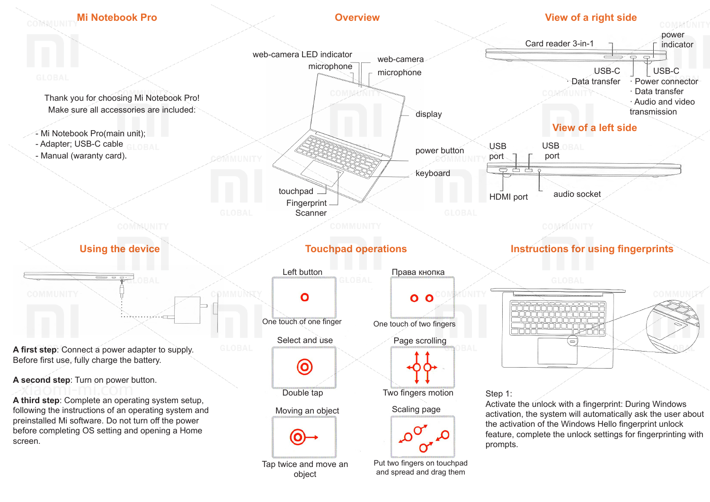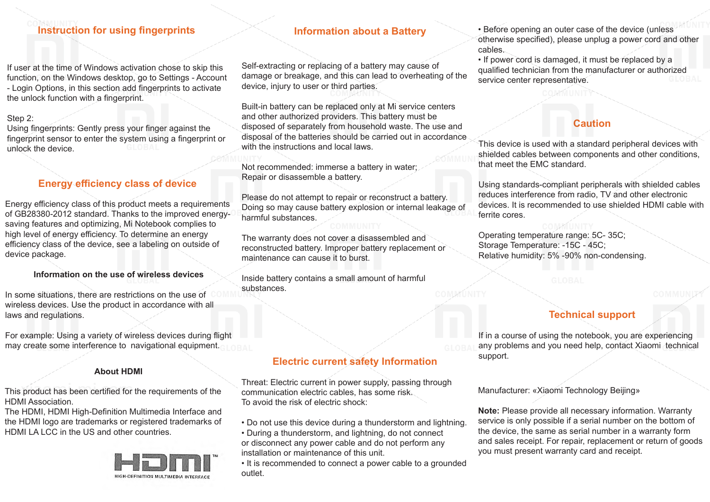# **Instruction for using fingerprints**

If user at the time of Windows activation chose to skip this function, on the Windows desktop, go to Settings - Account - Login Options, in this section add fingerprints to activate the unlock function with a fingerprint.

#### Step 2:

Using fingerprints: Gently press your finger against the fingerprint sensor to enter the system using a fingerprint or unlock the device.

## **Energy efficiency class of device**

Energy efficiency class of this product meets a requirements of GB28380-2012 standard. Thanks to the improved energysaving features and optimizing, Mi Notebook complies to high level of energy efficiency. To determine an energy efficiency class of the device, see a labeling on outside of device package.

#### **Information on the use of wireless devices**

In some situations, there are restrictions on the use of wireless devices. Use the product in accordance with all laws and regulations.

For example: Using a variety of wireless devices during flight may create some interference to navigational equipment.

### **About HDMI**

This product has been certified for the requirements of the HDMI Association.

The HDMI, HDMI High-Definition Multimedia Interface and the HDMI logo are trademarks or registered trademarks of HDMI LA LCC in the US and other countries.



## **Information about a Battery**

Self-extracting or replacing of a battery may cause of damage or breakage, and this can lead to overheating of the device, injury to user or third parties.

Built-in battery can be replaced only at Mi service centers and other authorized providers. This battery must be disposed of separately from household waste. The use and disposal of the batteries should be carried out in accordance with the instructions and local laws.

Not recommended: immerse a battery in water; Repair or disassemble a battery.

Please do not attempt to repair or reconstruct a battery. Doing so may cause battery explosion or internal leakage of harmful substances.

The warranty does not cover a disassembled and reconstructed battery. Improper battery replacement or maintenance can cause it to burst.

Inside battery contains a small amount of harmful substances.

• Before opening an outer case of the device (unless otherwise specified), please unplug a power cord and other cables.

• If power cord is damaged, it must be replaced by a qualified technician from the manufacturer or authorized service center representative.

## **Caution**

This device is used with a standard peripheral devices with shielded cables between components and other conditions, that meet the EMC standard.

Using standards-compliant peripherals with shielded cables reduces interference from radio, TV and other electronic devices. It is recommended to use shielded HDMI cable with ferrite cores.

Operating temperature range: 5C- 35C; Storage Temperature: -15C - 45C; Relative humidity: 5% -90% non-condensing.

# **Technical support**

If in a course of using the notebook, you are experiencing any problems and you need help, contact Xiaomi technical support.

Manufacturer: «Xiaomi Technology Beijing»

**Note:** Please provide all necessary information. Warranty service is only possible if a serial number on the bottom of the device, the same as serial number in a warranty form and sales receipt. For repair, replacement or return of goods you must present warranty card and receipt.

# **Electric current safety Information**

Threat: Electric current in power supply, passing through communication electric cables, has some risk. To avoid the risk of electric shock:

- Do not use this device during a thunderstorm and lightning.
- During a thunderstorm, and lightning, do not connect or disconnect any power cable and do not perform any installation or maintenance of this unit.

• It is recommended to connect a power cable to a grounded outlet.